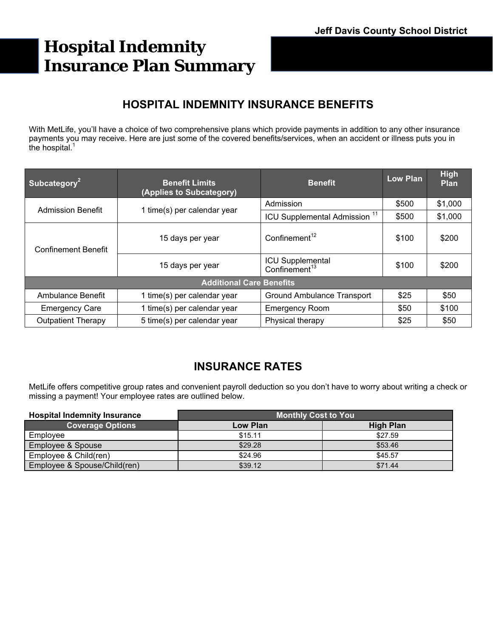# **Hospital Indemnity Insurance Plan Summary**

# **HOSPITAL INDEMNITY INSURANCE BENEFITS**

With MetLife, you'll have a choice of two comprehensive plans which provide payments in addition to any other insurance payments you may receive. Here are just some of the covered benefits/services, when an accident or illness puts you in the hospital.<sup>1</sup>

| Subcategory <sup>2</sup>        | <b>Benefit Limits</b><br>(Applies to Subcategory) | <b>Benefit</b>                                | <b>Low Plan</b> | High<br><b>Plan</b> |  |
|---------------------------------|---------------------------------------------------|-----------------------------------------------|-----------------|---------------------|--|
| <b>Admission Benefit</b>        | 1 time(s) per calendar year                       | Admission                                     | \$500           | \$1,000             |  |
|                                 |                                                   | ICU Supplemental Admission <sup>11</sup>      | \$500           | \$1,000             |  |
| <b>Confinement Benefit</b>      | 15 days per year                                  | Confinement <sup>12</sup>                     | \$100           | \$200               |  |
|                                 | 15 days per year                                  | ICU Supplemental<br>Confinement <sup>13</sup> | \$100           | \$200               |  |
| <b>Additional Care Benefits</b> |                                                   |                                               |                 |                     |  |
| Ambulance Benefit               | 1 time(s) per calendar year                       | <b>Ground Ambulance Transport</b>             | \$25            | \$50                |  |
| <b>Emergency Care</b>           | 1 time(s) per calendar year                       | <b>Emergency Room</b>                         | \$50            | \$100               |  |
| <b>Outpatient Therapy</b>       | 5 time(s) per calendar year                       | Physical therapy                              | \$25            | \$50                |  |

# **INSURANCE RATES**

MetLife offers competitive group rates and convenient payroll deduction so you don't have to worry about writing a check or missing a payment! Your employee rates are outlined below.

| <b>Hospital Indemnity Insurance</b> | <b>Monthly Cost to You</b> |                  |  |
|-------------------------------------|----------------------------|------------------|--|
| <b>Coverage Options</b>             | Low Plan                   | <b>High Plan</b> |  |
| Employee                            | \$15.11                    | \$27.59          |  |
| <b>Employee &amp; Spouse</b>        | \$29.28                    | \$53.46          |  |
| Employee & Child(ren)               | \$24.96                    | \$45.57          |  |
| Employee & Spouse/Child(ren)        | \$39.12                    | \$71.44          |  |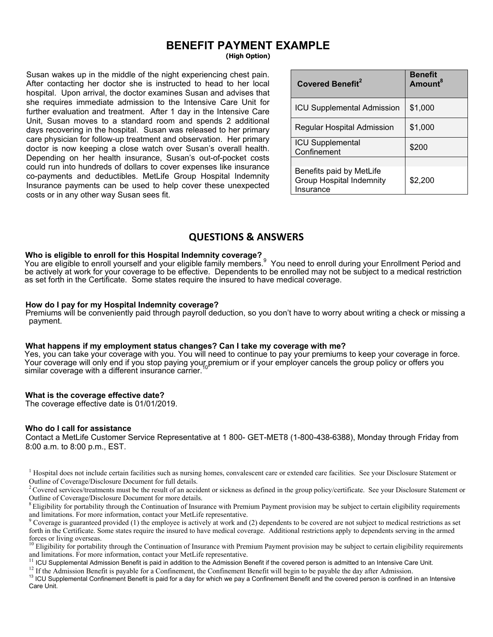### **BENEFIT PAYMENT EXAMPLE (High Option)**

Susan wakes up in the middle of the night experiencing chest pain. After contacting her doctor she is instructed to head to her local hospital. Upon arrival, the doctor examines Susan and advises that she requires immediate admission to the Intensive Care Unit for further evaluation and treatment. After 1 day in the Intensive Care Unit, Susan moves to a standard room and spends 2 additional days recovering in the hospital. Susan was released to her primary care physician for follow-up treatment and observation. Her primary doctor is now keeping a close watch over Susan's overall health. Depending on her health insurance, Susan's out-of-pocket costs could run into hundreds of dollars to cover expenses like insurance co-payments and deductibles. MetLife Group Hospital Indemnity Insurance payments can be used to help cover these unexpected costs or in any other way Susan sees fit.

| <b>Covered Benefit<sup>2</sup></b>                                       | <b>Benefit</b><br>Amount <sup>8</sup> |
|--------------------------------------------------------------------------|---------------------------------------|
| <b>ICU Supplemental Admission</b>                                        | \$1,000                               |
| Regular Hospital Admission                                               | \$1,000                               |
| <b>ICU Supplemental</b><br>Confinement                                   | \$200                                 |
|                                                                          |                                       |
| Benefits paid by MetLife<br><b>Group Hospital Indemnity</b><br>Insurance | \$2,200                               |
|                                                                          |                                       |

### **QUESTIONS & ANSWERS**

#### **Who is eligible to enroll for this Hospital Indemnity coverage?**

You are eligible to enroll yourself and your eligible family members.<sup>9</sup> You need to enroll during your Enrollment Period and be actively at work for your coverage to be effective. Dependents to be enrolled may not be subject to a medical restriction as set forth in the Certificate. Some states require the insured to have medical coverage.

#### **How do I pay for my Hospital Indemnity coverage?**

Premiums will be conveniently paid through payroll deduction, so you don't have to worry about writing a check or missing a payment.

#### **What happens if my employment status changes? Can I take my coverage with me?**

Yes, you can take your coverage with you. You will need to continue to pay your premiums to keep your coverage in force. Your coverage will only end if you stop paying your premium or if your employer cancels the group policy or offers you similar coverage with a different insurance carrier.

#### **What is the coverage effective date?**

The coverage effective date is 01/01/2019.

#### **Who do I call for assistance**

Contact a MetLife Customer Service Representative at 1 800- GET-MET8 (1-800-438-6388), Monday through Friday from 8:00 a.m. to 8:00 p.m., EST.

<sup>1</sup> Hospital does not include certain facilities such as nursing homes, convalescent care or extended care facilities. See your Disclosure Statement or Outline of Coverage/Disclosure Document for full details.

<sup>2</sup> Covered services/treatments must be the result of an accident or sickness as defined in the group policy/certificate. See your Disclosure Statement or Outline of Coverage/Disclosure Document for more details.

 $8$  Eligibility for portability through the Continuation of Insurance with Premium Payment provision may be subject to certain eligibility requirements and limitations. For more information, contact your MetLife representative.

 Coverage is guaranteed provided (1) the employee is actively at work and (2) dependents to be covered are not subject to medical restrictions as set forth in the Certificate. Some states require the insured to have medical coverage. Additional restrictions apply to dependents serving in the armed forces or living overseas.

 $10$  Eligibility for portability through the Continuation of Insurance with Premium Payment provision may be subject to certain eligibility requirements and limitations. For more information, contact your MetLife represen

<sup>11</sup> ICU Supplemental Admission Benefit is paid in addition to the Admission Benefit if the covered person is admitted to an Intensive Care Unit.<br><sup>12</sup> If the Admission Benefit is payable for a Confinement, the Confinement Care Unit.